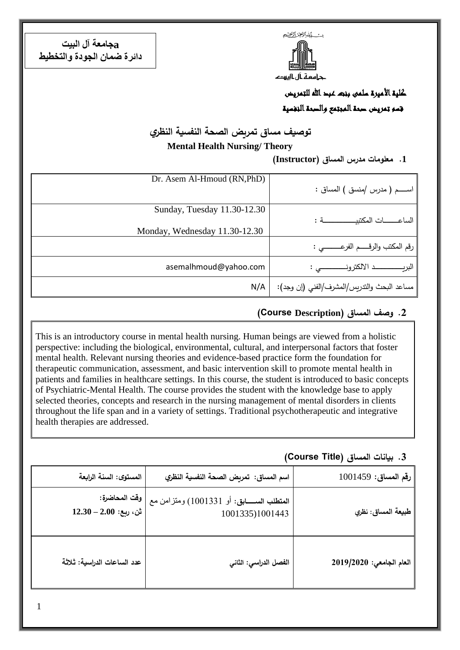ست كمشرالتجر التخيم

حامعة ال اليودء

**aجامعة آل البيت دائرة ضمان الجودة والتخطيط**

> كلية الأميرة سلمى بنت عبد الله للتمريض قسم تمريض صحة المجتمع والصحة النفسية

**توصيف مساق تمريض الصحة النفسية النظري**

**Mental Health Nursing/ Theory**

**.1 معلومات مدرس المساق )Instructor)**

| Dr. Asem Al-Hmoud (RN, PhD)   |                                             |
|-------------------------------|---------------------------------------------|
|                               | اســــم ( مدرس /منسق ) المساق :             |
| Sunday, Tuesday 11.30-12.30   |                                             |
|                               |                                             |
| Monday, Wednesday 11.30-12.30 |                                             |
|                               | رقم المكتب والرقـــــم الفرعــــــــــى :   |
| asemalhmoud@yahoo.com         |                                             |
| N/A                           | مساعد البحث والندريس/المشرف/الفني (إن وجد): |

## **.2 وصف المساق )Description Course(**

This is an introductory course in mental health nursing. Human beings are viewed from a holistic perspective: including the biological, environmental, cultural, and interpersonal factors that foster mental health. Relevant nursing theories and evidence-based practice form the foundation for therapeutic communication, assessment, and basic intervention skill to promote mental health in patients and families in healthcare settings. In this course, the student is introduced to basic concepts of Psychiatric-Mental Health. The course provides the student with the knowledge base to apply selected theories, concepts and research in the nursing management of mental disorders in clients throughout the life span and in a variety of settings. Traditional psychotherapeutic and integrative health therapies are addressed.

### **.3 بيانات المساق )Title Course)**

| رقم المساق: 1001459      | اسم المساق: تمريض الصحة النفسية النظري                         | المستوى: السنة الرابعة                    |
|--------------------------|----------------------------------------------------------------|-------------------------------------------|
| طبيعة المساق: نظري       | العقطلب الســـــابق: أو 1001331) ومنزامن مع<br>1001335)1001443 | وقت المحاضرة:<br>$12.30 - 2.00$ :ثن، ربع: |
| العام الجامعى: 2019/2020 | الفصل الدراسي: الثاني                                          | عدد الساعات الدراسية: ثلاثة               |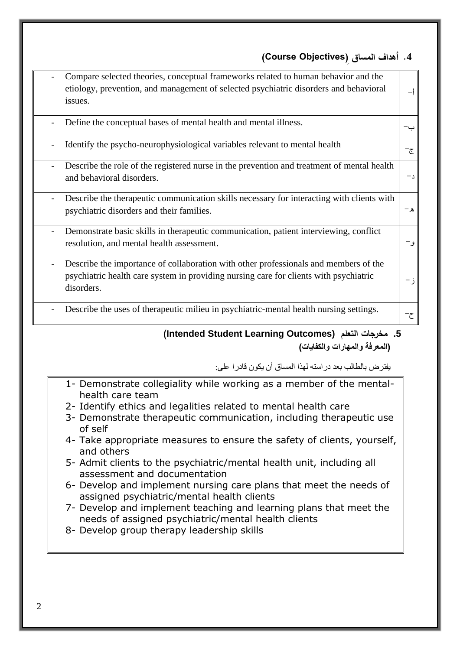# **.4 أهداف المساق ) Objectives Course)**

| 5. مخرجات التعلم (Intended Student Learning Outcomes)                                                                                                                                       |                 |
|---------------------------------------------------------------------------------------------------------------------------------------------------------------------------------------------|-----------------|
| Describe the uses of therapeutic milieu in psychiatric-mental health nursing settings.                                                                                                      | ح−              |
| Describe the importance of collaboration with other professionals and members of the<br>psychiatric health care system in providing nursing care for clients with psychiatric<br>disorders. | ز-              |
| Demonstrate basic skills in therapeutic communication, patient interviewing, conflict<br>resolution, and mental health assessment.                                                          | و –             |
| Describe the therapeutic communication skills necessary for interacting with clients with<br>psychiatric disorders and their families.                                                      | ھ-              |
| Describe the role of the registered nurse in the prevention and treatment of mental health<br>and behavioral disorders.                                                                     | $-1$            |
| Identify the psycho-neurophysiological variables relevant to mental health                                                                                                                  | ج−              |
| Define the conceptual bases of mental health and mental illness.                                                                                                                            | ب-              |
| Compare selected theories, conceptual frameworks related to human behavior and the<br>etiology, prevention, and management of selected psychiatric disorders and behavioral<br>issues.      | $-\mathfrak{f}$ |

يفترض بالطالب بعد دراسته لهذا المساق أن يكون قادرا على:

- 1- Demonstrate collegiality while working as a member of the mentalhealth care team
- 2- Identify ethics and legalities related to mental health care
- 3- Demonstrate therapeutic communication, including therapeutic use of self
- 4- Take appropriate measures to ensure the safety of clients, yourself, and others
- 5- Admit clients to the psychiatric/mental health unit, including all assessment and documentation
- 6- Develop and implement nursing care plans that meet the needs of assigned psychiatric/mental health clients
- 7- Develop and implement teaching and learning plans that meet the needs of assigned psychiatric/mental health clients
- 8- Develop group therapy leadership skills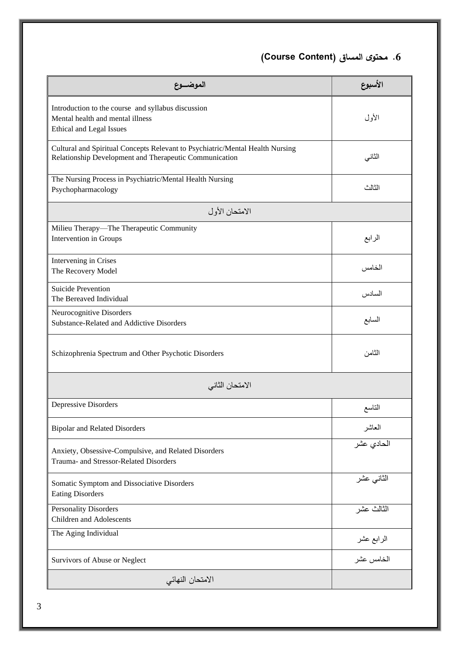**.6 محتوى المساق )Content Course)**

| الموضـــوع                                                                                                                              | الأسبوع    |
|-----------------------------------------------------------------------------------------------------------------------------------------|------------|
| Introduction to the course and syllabus discussion<br>Mental health and mental illness<br><b>Ethical and Legal Issues</b>               | الأول      |
| Cultural and Spiritual Concepts Relevant to Psychiatric/Mental Health Nursing<br>Relationship Development and Therapeutic Communication | الثاني     |
| The Nursing Process in Psychiatric/Mental Health Nursing<br>Psychopharmacology                                                          | الثالث     |
| الامتحان الأول                                                                                                                          |            |
| Milieu Therapy-The Therapeutic Community<br>Intervention in Groups                                                                      | الرابع     |
| Intervening in Crises<br>The Recovery Model                                                                                             | الخامس     |
| <b>Suicide Prevention</b><br>The Bereaved Individual                                                                                    | السادس     |
| Neurocognitive Disorders<br>Substance-Related and Addictive Disorders                                                                   | السابع     |
| Schizophrenia Spectrum and Other Psychotic Disorders                                                                                    | الثامن     |
| الامتحان الثاني                                                                                                                         |            |
| Depressive Disorders                                                                                                                    | التاسع     |
| <b>Bipolar and Related Disorders</b>                                                                                                    | العاشر     |
| Anxiety, Obsessive-Compulsive, and Related Disorders<br>Trauma- and Stressor-Related Disorders                                          | الحادي عشر |
| Somatic Symptom and Dissociative Disorders<br><b>Eating Disorders</b>                                                                   | الثانى عشر |
| <b>Personality Disorders</b><br>Children and Adolescents                                                                                | الثالث عشر |
| The Aging Individual                                                                                                                    | الرابع عشر |
| Survivors of Abuse or Neglect                                                                                                           | الخامس عشر |
| الامتحان النهائي                                                                                                                        |            |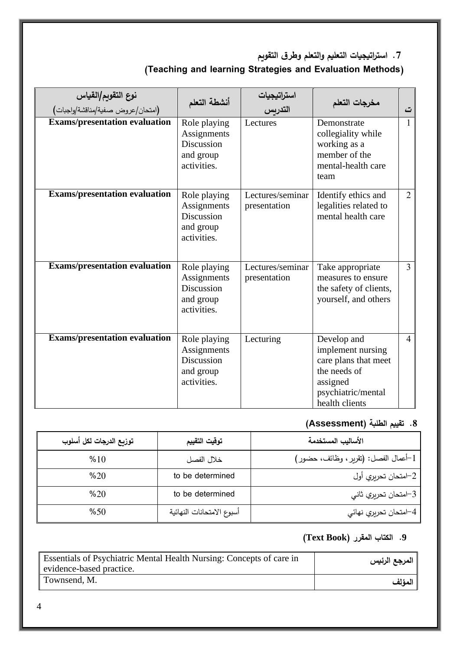**.7 است ارتيجيات التعليم والتعلم وطرق التقويم**

# **)Teaching and learning Strategies and Evaluation Methods(**

| نوع التقويم/القياس<br>(امتحان/عروض صفية/مناقشة/واجبات) | أنشطة التعلم                                                                 | استراتيجيات<br>التدريس           | مخرجات التعلم                                                                                                                | ت              |
|--------------------------------------------------------|------------------------------------------------------------------------------|----------------------------------|------------------------------------------------------------------------------------------------------------------------------|----------------|
| <b>Exams/presentation evaluation</b>                   | Role playing<br>Assignments<br>Discussion<br>and group<br>activities.        | Lectures                         | Demonstrate<br>collegiality while<br>working as a<br>member of the<br>mental-health care<br>team                             | $\mathbf{1}$   |
| <b>Exams/presentation evaluation</b>                   | Role playing<br>Assignments<br><b>Discussion</b><br>and group<br>activities. | Lectures/seminar<br>presentation | Identify ethics and<br>legalities related to<br>mental health care                                                           | $\overline{2}$ |
| <b>Exams/presentation evaluation</b>                   | Role playing<br>Assignments<br><b>Discussion</b><br>and group<br>activities. | Lectures/seminar<br>presentation | Take appropriate<br>measures to ensure<br>the safety of clients,<br>yourself, and others                                     | 3              |
| <b>Exams/presentation evaluation</b>                   | Role playing<br>Assignments<br><b>Discussion</b><br>and group<br>activities. | Lecturing                        | Develop and<br>implement nursing<br>care plans that meet<br>the needs of<br>assigned<br>psychiatric/mental<br>health clients | $\overline{4}$ |

# **.8 تقييم الطلبة )Assessment)**

| توزيع الدرجات لكل أسلوب | توقيت التقييم             | الأساليب المستخدمة                    |
|-------------------------|---------------------------|---------------------------------------|
| %10                     | خلال الفصل                | 1–أعمال الفصل: (تقرير ، وظائف، حضور ) |
| %20                     | to be determined          | 2–امتحان تحريري أول                   |
| %20                     | to be determined          | 3–امتحان تحريري ثاني                  |
| %50                     | أسبوع الامتحانات النهائية | 4–امتحان تحريري نهائي                 |

## **.9 الكتاب المقرر )Book Text)**

| Essentials of Psychiatric Mental Health Nursing: Concepts of care in<br>evidence-based practice. | المرجع الرئيس |
|--------------------------------------------------------------------------------------------------|---------------|
| Townsend, M.                                                                                     | المؤلف        |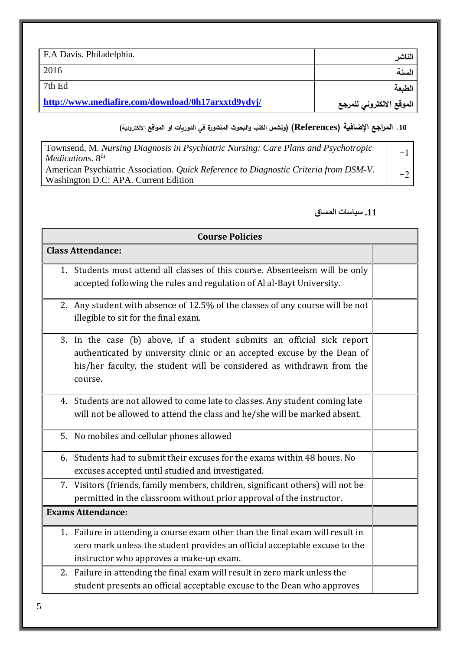| F.A Davis. Philadelphia.                           | الفاشر                   |
|----------------------------------------------------|--------------------------|
| 2016                                               | ا السنة                  |
| $\vert$ 7th Ed                                     | الطبعة                   |
| http://www.mediafire.com/download/0h17arxxtd9ydyj/ | الموقع الالكتروني للمرجع |

# **.10 المراجع اإلضافية )References( )وتشمل الكت والبحوث المنشورة في الدوريات او المواقع االلكترونية(**

| Townsend, M. Nursing Diagnosis in Psychiatric Nursing: Care Plans and Psychotropic<br><i>Medications.</i> 8 <sup>th</sup>    | $-1$ |
|------------------------------------------------------------------------------------------------------------------------------|------|
| American Psychiatric Association. Quick Reference to Diagnostic Criteria from DSM-V.<br>Washington D.C: APA. Current Edition |      |

#### **.11 سياسات المساق**

| <b>Course Policies</b>                                                                                                                                                                                                                                                                |  |
|---------------------------------------------------------------------------------------------------------------------------------------------------------------------------------------------------------------------------------------------------------------------------------------|--|
| <b>Class Attendance:</b>                                                                                                                                                                                                                                                              |  |
| 1. Students must attend all classes of this course. Absenteeism will be only<br>accepted following the rules and regulation of Al al-Bayt University.                                                                                                                                 |  |
| 2. Any student with absence of 12.5% of the classes of any course will be not<br>illegible to sit for the final exam.                                                                                                                                                                 |  |
| In the case (b) above, if a student submits an official sick report<br>3.<br>authenticated by university clinic or an accepted excuse by the Dean of<br>his/her faculty, the student will be considered as withdrawn from the<br>course.                                              |  |
| 4. Students are not allowed to come late to classes. Any student coming late<br>will not be allowed to attend the class and he/she will be marked absent.                                                                                                                             |  |
| 5. No mobiles and cellular phones allowed                                                                                                                                                                                                                                             |  |
| 6. Students had to submit their excuses for the exams within 48 hours. No<br>excuses accepted until studied and investigated.                                                                                                                                                         |  |
| 7. Visitors (friends, family members, children, significant others) will not be<br>permitted in the classroom without prior approval of the instructor.                                                                                                                               |  |
| <b>Exams Attendance:</b>                                                                                                                                                                                                                                                              |  |
| 1. Failure in attending a course exam other than the final exam will result in<br>zero mark unless the student provides an official acceptable excuse to the<br>instructor who approves a make-up exam.<br>2. Failure in attending the final exam will result in zero mark unless the |  |
| student presents an official acceptable excuse to the Dean who approves                                                                                                                                                                                                               |  |